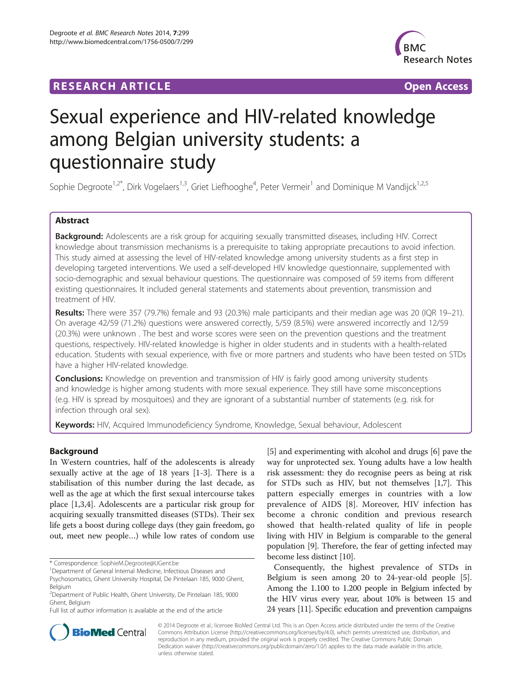# **RESEARCH ARTICLE Example 2018 12:00 Department of the Contract Open Access**



# Sexual experience and HIV-related knowledge among Belgian university students: a questionnaire study

Sophie Degroote<sup>1,2\*</sup>, Dirk Vogelaers<sup>1,3</sup>, Griet Liefhooghe<sup>4</sup>, Peter Vermeir<sup>1</sup> and Dominique M Vandijck<sup>1,2,5</sup>

# Abstract

Background: Adolescents are a risk group for acquiring sexually transmitted diseases, including HIV. Correct knowledge about transmission mechanisms is a prerequisite to taking appropriate precautions to avoid infection. This study aimed at assessing the level of HIV-related knowledge among university students as a first step in developing targeted interventions. We used a self-developed HIV knowledge questionnaire, supplemented with socio-demographic and sexual behaviour questions. The questionnaire was composed of 59 items from different existing questionnaires. It included general statements and statements about prevention, transmission and treatment of HIV.

Results: There were 357 (79.7%) female and 93 (20.3%) male participants and their median age was 20 (IQR 19–21). On average 42/59 (71.2%) questions were answered correctly, 5/59 (8.5%) were answered incorrectly and 12/59 (20.3%) were unknown . The best and worse scores were seen on the prevention questions and the treatment questions, respectively. HIV-related knowledge is higher in older students and in students with a health-related education. Students with sexual experience, with five or more partners and students who have been tested on STDs have a higher HIV-related knowledge.

**Conclusions:** Knowledge on prevention and transmission of HIV is fairly good among university students and knowledge is higher among students with more sexual experience. They still have some misconceptions (e.g. HIV is spread by mosquitoes) and they are ignorant of a substantial number of statements (e.g. risk for infection through oral sex).

Keywords: HIV, Acquired Immunodeficiency Syndrome, Knowledge, Sexual behaviour, Adolescent

# Background

In Western countries, half of the adolescents is already sexually active at the age of 18 years [\[1](#page-4-0)-[3\]](#page-4-0). There is a stabilisation of this number during the last decade, as well as the age at which the first sexual intercourse takes place [\[1](#page-4-0),[3](#page-4-0),[4\]](#page-4-0). Adolescents are a particular risk group for acquiring sexually transmitted diseases (STDs). Their sex life gets a boost during college days (they gain freedom, go out, meet new people…) while low rates of condom use

Full list of author information is available at the end of the article

[[5\]](#page-4-0) and experimenting with alcohol and drugs [\[6](#page-4-0)] pave the way for unprotected sex. Young adults have a low health risk assessment: they do recognise peers as being at risk for STDs such as HIV, but not themselves [[1](#page-4-0),[7](#page-4-0)]. This pattern especially emerges in countries with a low prevalence of AIDS [[8\]](#page-4-0). Moreover, HIV infection has become a chronic condition and previous research showed that health-related quality of life in people living with HIV in Belgium is comparable to the general population [\[9\]](#page-4-0). Therefore, the fear of getting infected may become less distinct [[10](#page-4-0)].

Consequently, the highest prevalence of STDs in Belgium is seen among 20 to 24-year-old people [\[5](#page-4-0)]. Among the 1.100 to 1.200 people in Belgium infected by the HIV virus every year, about 10% is between 15 and 24 years [[11](#page-4-0)]. Specific education and prevention campaigns



© 2014 Degroote et al.; licensee BioMed Central Ltd. This is an Open Access article distributed under the terms of the Creative Commons Attribution License [\(http://creativecommons.org/licenses/by/4.0\)](http://creativecommons.org/licenses/by/4.0), which permits unrestricted use, distribution, and reproduction in any medium, provided the original work is properly credited. The Creative Commons Public Domain Dedication waiver [\(http://creativecommons.org/publicdomain/zero/1.0/](http://creativecommons.org/publicdomain/zero/1.0/)) applies to the data made available in this article, unless otherwise stated.

<sup>\*</sup> Correspondence: [SophieM.Degroote@UGent.be](mailto:SophieM.Degroote@UGent.be) <sup>1</sup>

<sup>&</sup>lt;sup>1</sup>Department of General Internal Medicine, Infectious Diseases and

Psychosomatics, Ghent University Hospital, De Pintelaan 185, 9000 Ghent, Belgium

<sup>2</sup> Department of Public Health, Ghent University, De Pintelaan 185, 9000 Ghent, Belgium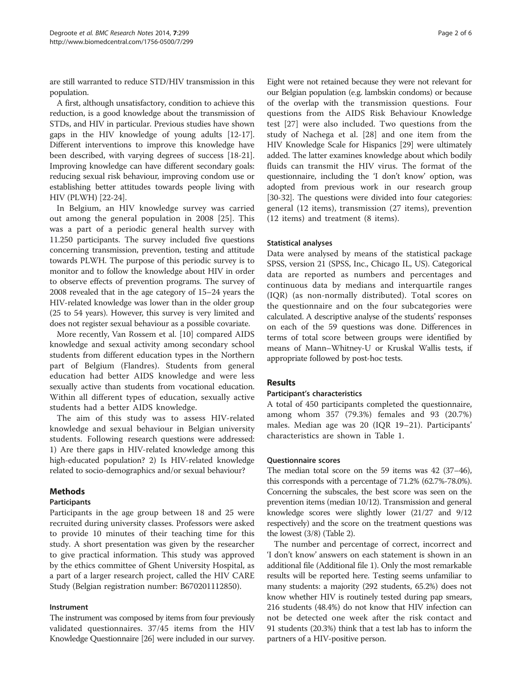are still warranted to reduce STD/HIV transmission in this population.

A first, although unsatisfactory, condition to achieve this reduction, is a good knowledge about the transmission of STDs, and HIV in particular. Previous studies have shown gaps in the HIV knowledge of young adults [[12](#page-4-0)-[17](#page-4-0)]. Different interventions to improve this knowledge have been described, with varying degrees of success [[18](#page-4-0)-[21](#page-5-0)]. Improving knowledge can have different secondary goals: reducing sexual risk behaviour, improving condom use or establishing better attitudes towards people living with HIV (PLWH) [[22](#page-5-0)-[24](#page-5-0)].

In Belgium, an HIV knowledge survey was carried out among the general population in 2008 [[25\]](#page-5-0). This was a part of a periodic general health survey with 11.250 participants. The survey included five questions concerning transmission, prevention, testing and attitude towards PLWH. The purpose of this periodic survey is to monitor and to follow the knowledge about HIV in order to observe effects of prevention programs. The survey of 2008 revealed that in the age category of 15–24 years the HIV-related knowledge was lower than in the older group (25 to 54 years). However, this survey is very limited and does not register sexual behaviour as a possible covariate.

More recently, Van Rossem et al. [[10\]](#page-4-0) compared AIDS knowledge and sexual activity among secondary school students from different education types in the Northern part of Belgium (Flandres). Students from general education had better AIDS knowledge and were less sexually active than students from vocational education. Within all different types of education, sexually active students had a better AIDS knowledge.

The aim of this study was to assess HIV-related knowledge and sexual behaviour in Belgian university students. Following research questions were addressed: 1) Are there gaps in HIV-related knowledge among this high-educated population? 2) Is HIV-related knowledge related to socio-demographics and/or sexual behaviour?

# Methods

#### Participants

Participants in the age group between 18 and 25 were recruited during university classes. Professors were asked to provide 10 minutes of their teaching time for this study. A short presentation was given by the researcher to give practical information. This study was approved by the ethics committee of Ghent University Hospital, as a part of a larger research project, called the HIV CARE Study (Belgian registration number: B670201112850).

# Instrument

The instrument was composed by items from four previously validated questionnaires. 37/45 items from the HIV Knowledge Questionnaire [\[26](#page-5-0)] were included in our survey.

Eight were not retained because they were not relevant for our Belgian population (e.g. lambskin condoms) or because of the overlap with the transmission questions. Four questions from the AIDS Risk Behaviour Knowledge test [\[27](#page-5-0)] were also included. Two questions from the study of Nachega et al. [[28](#page-5-0)] and one item from the HIV Knowledge Scale for Hispanics [\[29\]](#page-5-0) were ultimately added. The latter examines knowledge about which bodily fluids can transmit the HIV virus. The format of the questionnaire, including the 'I don't know' option, was adopted from previous work in our research group [[30](#page-5-0)-[32\]](#page-5-0). The questions were divided into four categories: general (12 items), transmission (27 items), prevention (12 items) and treatment (8 items).

#### Statistical analyses

Data were analysed by means of the statistical package SPSS, version 21 (SPSS, Inc., Chicago IL, US). Categorical data are reported as numbers and percentages and continuous data by medians and interquartile ranges (IQR) (as non-normally distributed). Total scores on the questionnaire and on the four subcategories were calculated. A descriptive analyse of the students' responses on each of the 59 questions was done. Differences in terms of total score between groups were identified by means of Mann–Whitney-U or Kruskal Wallis tests, if appropriate followed by post-hoc tests.

# Results

#### Participant's characteristics

A total of 450 participants completed the questionnaire, among whom 357 (79.3%) females and 93 (20.7%) males. Median age was 20 (IQR 19–21). Participants' characteristics are shown in Table [1](#page-2-0).

#### Questionnaire scores

The median total score on the 59 items was 42 (37–46), this corresponds with a percentage of 71.2% (62.7%-78.0%). Concerning the subscales, the best score was seen on the prevention items (median 10/12). Transmission and general knowledge scores were slightly lower (21/27 and 9/12 respectively) and the score on the treatment questions was the lowest (3/8) (Table [2](#page-2-0)).

The number and percentage of correct, incorrect and 'I don't know' answers on each statement is shown in an additional file (Additional file [1](#page-4-0)). Only the most remarkable results will be reported here. Testing seems unfamiliar to many students: a majority (292 students, 65.2%) does not know whether HIV is routinely tested during pap smears, 216 students (48.4%) do not know that HIV infection can not be detected one week after the risk contact and 91 students (20.3%) think that a test lab has to inform the partners of a HIV-positive person.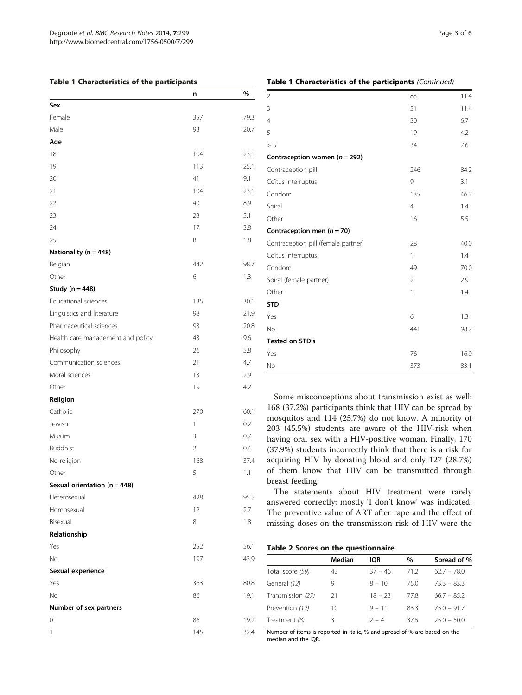<span id="page-2-0"></span>Table 1 Characteristics of the participants

|                                   | n              | %    |
|-----------------------------------|----------------|------|
| Sex                               |                |      |
| Female                            | 357            | 79.3 |
| Male                              | 93             | 20.7 |
| Age                               |                |      |
| 18                                | 104            | 23.1 |
| 19                                | 113            | 25.1 |
| 20                                | 41             | 9.1  |
| 21                                | 104            | 23.1 |
| 22                                | 40             | 8.9  |
| 23                                | 23             | 5.1  |
| 24                                | 17             | 3.8  |
| 25                                | 8              | 1.8  |
| Nationality (n = 448)             |                |      |
| Belgian                           | 442            | 98.7 |
| Other                             | 6              | 1.3  |
| Study ( $n = 448$ )               |                |      |
| <b>Educational sciences</b>       | 135            | 30.1 |
| Linguistics and literature        | 98             | 21.9 |
| Pharmaceutical sciences           | 93             | 20.8 |
| Health care management and policy | 43             | 9.6  |
| Philosophy                        | 26             | 5.8  |
| Communication sciences            | 21             | 4.7  |
| Moral sciences                    | 13             | 2.9  |
| Other                             | 19             | 4.2  |
| Religion                          |                |      |
| Catholic                          | 270            | 60.1 |
| Jewish                            | 1              | 0.2  |
| Muslim                            | 3              | 0.7  |
| <b>Buddhist</b>                   | $\overline{2}$ | 0.4  |
| No religion                       | 168            | 37.4 |
| Other                             | 5              | 1.1  |
| Sexual orientation ( $n = 448$ )  |                |      |
| Heterosexual                      | 428            | 95.5 |
| Homosexual                        | 12             | 2.7  |
| Bisexual                          | 8              | 1.8  |
| Relationship                      |                |      |
| Yes                               | 252            | 56.1 |
| <b>No</b>                         | 197            | 43.9 |
| Sexual experience                 |                |      |
| Yes                               | 363            | 80.8 |
| <b>No</b>                         | 86             | 19.1 |
| Number of sex partners            |                |      |
| 0                                 | 86             | 19.2 |
| 1                                 | 145            | 32.4 |
|                                   |                |      |

| $\overline{2}$                      | 83             | 11.4 |
|-------------------------------------|----------------|------|
| 3                                   | 51             | 11.4 |
| $\overline{4}$                      | 30             | 6.7  |
| 5                                   | 19             | 4.2  |
| > 5                                 | 34             | 7.6  |
| Contraception women ( $n = 292$ )   |                |      |
| Contraception pill                  | 246            | 84.2 |
| Coïtus interruptus                  | 9              | 3.1  |
| Condom                              | 135            | 46.2 |
| Spiral                              | $\overline{4}$ | 1.4  |
| Other                               | 16             | 5.5  |
| Contraception men ( $n = 70$ )      |                |      |
| Contraception pill (female partner) | 28             | 40.0 |
| Coïtus interruptus                  | $\mathbf{1}$   | 1.4  |
| Condom                              | 49             | 70.0 |
| Spiral (female partner)             | $\overline{2}$ | 2.9  |
| Other                               | $\mathbf{1}$   | 1.4  |
| <b>STD</b>                          |                |      |
| Yes                                 | 6              | 1.3  |
| <b>No</b>                           | 441            | 98.7 |
| Tested on STD's                     |                |      |
| Yes                                 | 76             | 16.9 |
| No                                  | 373            | 83.1 |
|                                     |                |      |

Some misconceptions about transmission exist as well: 168 (37.2%) participants think that HIV can be spread by mosquitos and 114 (25.7%) do not know. A minority of 203 (45.5%) students are aware of the HIV-risk when having oral sex with a HIV-positive woman. Finally, 170 (37.9%) students incorrectly think that there is a risk for acquiring HIV by donating blood and only 127 (28.7%) of them know that HIV can be transmitted through breast feeding.

The statements about HIV treatment were rarely answered correctly; mostly 'I don't know' was indicated. The preventive value of ART after rape and the effect of missing doses on the transmission risk of HIV were the

#### Table 2 Scores on the questionnaire

|                   | Median | IOR       | $\%$ | Spread of %   |
|-------------------|--------|-----------|------|---------------|
| Total score (59)  | 42     | $37 - 46$ | 712  | $62.7 - 78.0$ |
| General (12)      | 9      | $8 - 10$  | 75 O | $73.3 - 83.3$ |
| Transmission (27) | 21     | $18 - 23$ | 778  | $66.7 - 85.2$ |
| Prevention (12)   | 10     | $9 - 11$  | 83.3 | $75.0 - 91.7$ |
| Treatment (8)     | 3      | $2 - 4$   | 375  | $25.0 - 50.0$ |

Number of items is reported in italic, % and spread of % are based on the median and the IQR.

#### Table 1 Characteristics of the participants (Continued)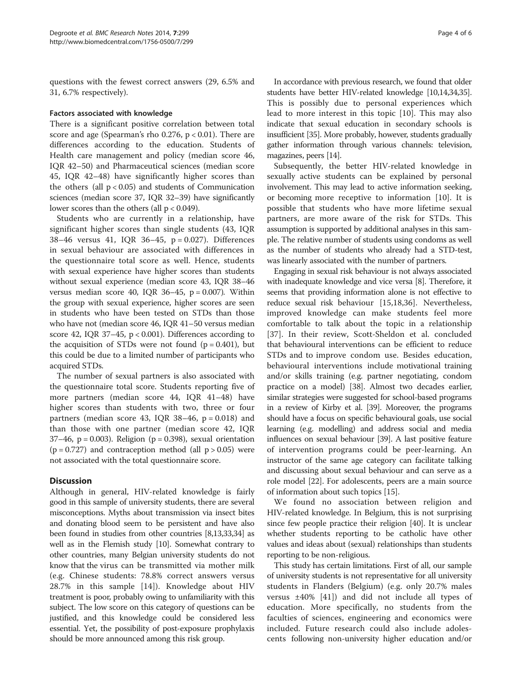questions with the fewest correct answers (29, 6.5% and 31, 6.7% respectively).

#### Factors associated with knowledge

There is a significant positive correlation between total score and age (Spearman's rho 0.276, p < 0.01). There are differences according to the education. Students of Health care management and policy (median score 46, IQR 42–50) and Pharmaceutical sciences (median score 45, IQR 42–48) have significantly higher scores than the others (all  $p < 0.05$ ) and students of Communication sciences (median score 37, IQR 32–39) have significantly lower scores than the others (all  $p < 0.049$ ).

Students who are currently in a relationship, have significant higher scores than single students (43, IQR 38–46 versus 41, IQR 36–45, p = 0.027). Differences in sexual behaviour are associated with differences in the questionnaire total score as well. Hence, students with sexual experience have higher scores than students without sexual experience (median score 43, IQR 38–46 versus median score 40, IQR 36-45,  $p = 0.007$ ). Within the group with sexual experience, higher scores are seen in students who have been tested on STDs than those who have not (median score 46, IQR 41–50 versus median score 42, IQR 37–45, p < 0.001). Differences according to the acquisition of STDs were not found  $(p = 0.401)$ , but this could be due to a limited number of participants who acquired STDs.

The number of sexual partners is also associated with the questionnaire total score. Students reporting five of more partners (median score 44, IQR 41–48) have higher scores than students with two, three or four partners (median score 43, IQR 38-46,  $p = 0.018$ ) and than those with one partner (median score 42, IQR 37–46,  $p = 0.003$ ). Religion ( $p = 0.398$ ), sexual orientation  $(p = 0.727)$  and contraception method (all  $p > 0.05$ ) were not associated with the total questionnaire score.

# **Discussion**

Although in general, HIV-related knowledge is fairly good in this sample of university students, there are several misconceptions. Myths about transmission via insect bites and donating blood seem to be persistent and have also been found in studies from other countries [[8,13](#page-4-0)[,33,34](#page-5-0)] as well as in the Flemish study [\[10](#page-4-0)]. Somewhat contrary to other countries, many Belgian university students do not know that the virus can be transmitted via mother milk (e.g. Chinese students: 78.8% correct answers versus 28.7% in this sample [[14\]](#page-4-0)). Knowledge about HIV treatment is poor, probably owing to unfamiliarity with this subject. The low score on this category of questions can be justified, and this knowledge could be considered less essential. Yet, the possibility of post-exposure prophylaxis should be more announced among this risk group.

In accordance with previous research, we found that older students have better HIV-related knowledge [\[10,14,](#page-4-0)[34,35](#page-5-0)]. This is possibly due to personal experiences which lead to more interest in this topic [[10](#page-4-0)]. This may also indicate that sexual education in secondary schools is insufficient [[35](#page-5-0)]. More probably, however, students gradually gather information through various channels: television, magazines, peers [\[14\]](#page-4-0).

Subsequently, the better HIV-related knowledge in sexually active students can be explained by personal involvement. This may lead to active information seeking, or becoming more receptive to information [[10](#page-4-0)]. It is possible that students who have more lifetime sexual partners, are more aware of the risk for STDs. This assumption is supported by additional analyses in this sample. The relative number of students using condoms as well as the number of students who already had a STD-test, was linearly associated with the number of partners.

Engaging in sexual risk behaviour is not always associated with inadequate knowledge and vice versa [[8\]](#page-4-0). Therefore, it seems that providing information alone is not effective to reduce sexual risk behaviour [[15,18,](#page-4-0)[36\]](#page-5-0). Nevertheless, improved knowledge can make students feel more comfortable to talk about the topic in a relationship [[37\]](#page-5-0). In their review, Scott-Sheldon et al. concluded that behavioural interventions can be efficient to reduce STDs and to improve condom use. Besides education, behavioural interventions include motivational training and/or skills training (e.g. partner negotiating, condom practice on a model) [\[38\]](#page-5-0). Almost two decades earlier, similar strategies were suggested for school-based programs in a review of Kirby et al. [\[39\]](#page-5-0). Moreover, the programs should have a focus on specific behavioural goals, use social learning (e.g. modelling) and address social and media influences on sexual behaviour [[39\]](#page-5-0). A last positive feature of intervention programs could be peer-learning. An instructor of the same age category can facilitate talking and discussing about sexual behaviour and can serve as a role model [[22](#page-5-0)]. For adolescents, peers are a main source of information about such topics [\[15\]](#page-4-0).

We found no association between religion and HIV-related knowledge. In Belgium, this is not surprising since few people practice their religion [[40](#page-5-0)]. It is unclear whether students reporting to be catholic have other values and ideas about (sexual) relationships than students reporting to be non-religious.

This study has certain limitations. First of all, our sample of university students is not representative for all university students in Flanders (Belgium) (e.g. only 20.7% males versus  $\pm 40\%$  [[41\]](#page-5-0)) and did not include all types of education. More specifically, no students from the faculties of sciences, engineering and economics were included. Future research could also include adolescents following non-university higher education and/or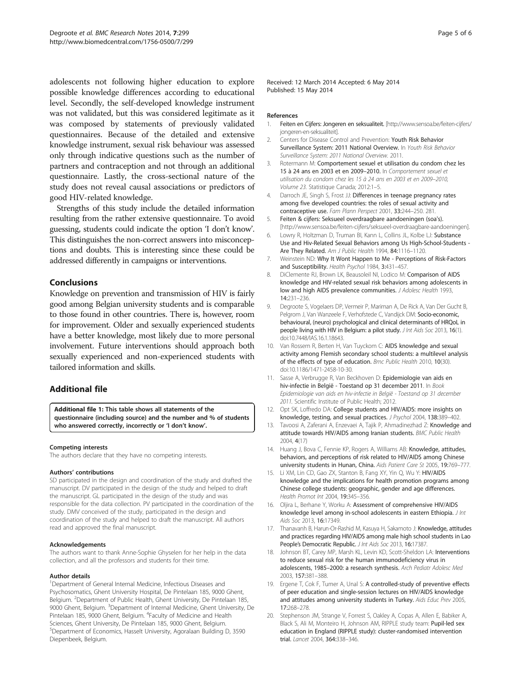<span id="page-4-0"></span>adolescents not following higher education to explore possible knowledge differences according to educational level. Secondly, the self-developed knowledge instrument was not validated, but this was considered legitimate as it was composed by statements of previously validated questionnaires. Because of the detailed and extensive knowledge instrument, sexual risk behaviour was assessed only through indicative questions such as the number of partners and contraception and not through an additional questionnaire. Lastly, the cross-sectional nature of the study does not reveal causal associations or predictors of good HIV-related knowledge.

Strengths of this study include the detailed information resulting from the rather extensive questionnaire. To avoid guessing, students could indicate the option 'I don't know'. This distinguishes the non-correct answers into misconceptions and doubts. This is interesting since these could be addressed differently in campaigns or interventions.

#### Conclusions

Knowledge on prevention and transmission of HIV is fairly good among Belgian university students and is comparable to those found in other countries. There is, however, room for improvement. Older and sexually experienced students have a better knowledge, most likely due to more personal involvement. Future interventions should approach both sexually experienced and non-experienced students with tailored information and skills.

# Additional file

[Additional file 1:](http://www.biomedcentral.com/content/supplementary/1756-0500-7-299-S1.csv) This table shows all statements of the questionnaire (including source) and the number and % of students who answered correctly, incorrectly or 'I don't know'.

#### Competing interests

The authors declare that they have no competing interests.

#### Authors' contributions

SD participated in the design and coordination of the study and drafted the manuscript. DV participated in the design of the study and helped to draft the manuscript. GL participated in the design of the study and was responsible for the data collection. PV participated in the coordination of the study. DMV conceived of the study, participated in the design and coordination of the study and helped to draft the manuscript. All authors read and approved the final manuscript.

#### Acknowledgements

The authors want to thank Anne-Sophie Ghyselen for her help in the data collection, and all the professors and students for their time.

#### Author details

<sup>1</sup>Department of General Internal Medicine, Infectious Diseases and Psychosomatics, Ghent University Hospital, De Pintelaan 185, 9000 Ghent, Belgium. <sup>2</sup>Department of Public Health, Ghent University, De Pintelaan 185, 9000 Ghent, Belgium. <sup>3</sup>Department of Internal Medicine, Ghent University, De Pintelaan 185, 9000 Ghent, Belgium. <sup>4</sup>Faculty of Medicine and Health Sciences, Ghent University, De Pintelaan 185, 9000 Ghent, Belgium. 5 Department of Economics, Hasselt University, Agoralaan Building D, 3590 Diepenbeek, Belgium.

Received: 12 March 2014 Accepted: 6 May 2014 Published: 15 May 2014

#### References

- 1. Feiten en Cijfers: Jongeren en seksualiteit. [\[http://www.sensoa.be/feiten-cijfers/](http://www.sensoa.be/feiten-cijfers/jongeren-en-seksualiteit) [jongeren-en-seksualiteit\]](http://www.sensoa.be/feiten-cijfers/jongeren-en-seksualiteit).
- 2. Centers for Disease Control and Prevention: Youth Risk Behavior Surveillance System: 2011 National Overview. In Youth Risk Behavior Surveillance System: 2011 National Overview. 2011.
- 3. Rotermann M: Comportement sexuel et utilisation du condom chez les 15 à 24 ans en 2003 et en 2009–2010. In Comportement sexuel et utilisation du condom chez les 15 à 24 ans en 2003 et en 2009–2010, Volume 23. Statistique Canada; 2012:1–5.
- 4. Darroch JE, Singh S, Frost JJ: Differences in teenage pregnancy rates among five developed countries: the roles of sexual activity and contraceptive use. Fam Plann Perspect 2001, 33:244–250. 281.
- 5. Feiten & cijfers: Seksueel overdraagbare aandoeningen (soa's). [<http://www.sensoa.be/feiten-cijfers/seksueel-overdraagbare-aandoeningen>].
- 6. Lowry R, Holtzman D, Truman BI, Kann L, Collins JL, Kolbe LJ: Substance Use and Hiv-Related Sexual Behaviors among Us High-School-Students - Are They Related. Am J Public Health 1994, 84:1116-1120.
- 7. Weinstein ND: Why It Wont Happen to Me Perceptions of Risk-Factors and Susceptibility. Health Psychol 1984, 3:431-457.
- 8. DiClemente RJ, Brown LK, Beausoleil NI, Lodico M: Comparison of AIDS knowledge and HIV-related sexual risk behaviors among adolescents in low and high AIDS prevalence communities. J Adolesc Health 1993, 14:231–236.
- 9. Degroote S, Vogelaers DP, Vermeir P, Mariman A, De Rick A, Van Der Gucht B, Pelgrom J, Van Wanzeele F, Verhofstede C, Vandijck DM: Socio-economic, behavioural, (neuro) psychological and clinical determinants of HRQoL in people living with HIV in Belgium: a pilot study. J Int Aids Soc 2013, 16(1). doi:10.7448/IAS.16.1.18643.
- 10. Van Rossem R, Berten H, Van Tuyckom C: AIDS knowledge and sexual activity among Flemish secondary school students: a multilevel analysis of the effects of type of education. Bmc Public Health 2010, 10(30). doi:10.1186/1471-2458-10-30.
- 11. Sasse A, Verbrugge R, Van Beckhoven D: Epidemiologie van aids en hiv-infectie in België - Toestand op 31 december 2011. In Book Epidemiologie van aids en hiv-infectie in België - Toestand op 31 december 2011. Scientific Institute of Public Health: 2012.
- 12. Opt SK, Loffredo DA: College students and HIV/AIDS: more insights on knowledge, testing, and sexual practices. J Psychol 2004, 138:389–402.
- 13. Tavoosi A, Zaferani A, Enzevaei A, Tajik P, Ahmadinezhad Z: Knowledge and attitude towards HIV/AIDS among Iranian students. BMC Public Health 2004, 4(17)
- 14. Huang J, Bova C, Fennie KP, Rogers A, Williams AB: Knowledge, attitudes, behaviors, and perceptions of risk related to HIV/AIDS among Chinese university students in Hunan, China. Aids Patient Care St 2005, 19:769–777.
- 15. Li XM, Lin CD, Gao ZX, Stanton B, Fang XY, Yin Q, Wu Y: HIV/AIDS knowledge and the implications for health promotion programs among Chinese college students: geographic, gender and age differences. Health Promot Int 2004, 19:345–356.
- 16. Oljira L, Berhane Y, Worku A: Assessment of comprehensive HIV/AIDS knowledge level among in-school adolescents in eastern Ethiopia. J Int Aids Soc 2013, 16:17349.
- 17. Thanavanh B, Harun-Or-Rashid M, Kasuya H, Sakamoto J: Knowledge, attitudes and practices regarding HIV/AIDS among male high school students in Lao People's Democratic Republic. J Int Aids Soc 2013, 16:17387.
- 18. Johnson BT, Carey MP, Marsh KL, Levin KD, Scott-Sheldon LA: Interventions to reduce sexual risk for the human immunodeficiency virus in adolescents, 1985–2000: a research synthesis. Arch Pediatr Adolesc Med 2003, 157:381–388.
- 19. Ergene T, Cok F, Tumer A, Unal S: A controlled-study of preventive effects of peer education and single-session lectures on HIV/AIDS knowledge and attitudes among university students in Turkey. Aids Educ Prev 2005, 17:268–278.
- 20. Stephenson JM, Strange V, Forrest S, Oakley A, Copas A, Allen E, Babiker A, Black S, Ali M, Monteiro H, Johnson AM, RIPPLE study team: Pupil-led sex education in England (RIPPLE study): cluster-randomised intervention trial. Lancet 2004, 364:338–346.